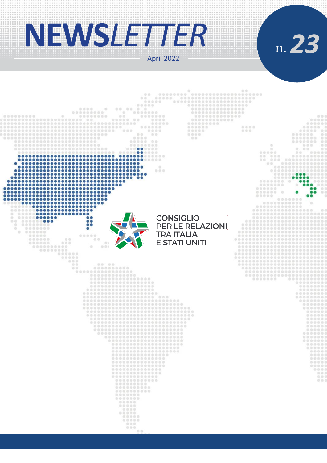# **NEWS***LETTER*

April 2022



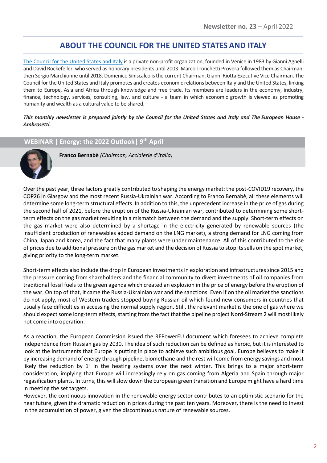## **ABOUT THE COUNCIL FOR THE UNITED STATES AND ITALY**

[The Council for the United States and Italy](https://consiusa.org/en/home_en/) is a private non-profit organization, founded in Venice in 1983 by Gianni Agnelli and David Rockefeller, who served as honorary presidents until 2003. Marco Tronchetti Provera followed them as Chairman, then Sergio Marchionne until 2018. Domenico Siniscalco is the current Chairman, Gianni Riotta Executive Vice Chairman. The Council for the United States and Italy promotes and creates economic relations between Italy and the United States, linking them to Europe, Asia and Africa through knowledge and free trade. Its members are leaders in the economy, industry, finance, technology, services, consulting, law, and culture - a team in which economic growth is viewed as promoting humanity and wealth as a cultural value to be shared.

*This monthly newsletter is prepared jointly by the Council for the United States and Italy and The European House - Ambrosetti.*

**WEBINAR | Energy: the 2022 Outlook| 9 th April**



**Franco Bernabè** *(Chairman, Acciaierie d'Italia)*

Over the past year, three factors greatly contributed to shaping the energy market: the post-COVID19 recovery, the COP26 in Glasgow and the most recent Russia-Ukrainian war. According to Franco Bernabè, all these elements will determine some long-term structural effects. In addition to this, the unprecedent increase in the price of gas during the second half of 2021, before the eruption of the Russia-Ukrainian war, contributed to determining some shortterm effects on the gas market resulting in a mismatch between the demand and the supply. Short-term effects on the gas market were also determined by a shortage in the electricity generated by renewable sources (the insufficient production of renewables added demand on the LNG market), a strong demand for LNG coming from China, Japan and Korea, and the fact that many plants were under maintenance. All of this contributed to the rise of prices due to additional pressure on the gas market and the decision of Russia to stop its sells on the spot market, giving priority to the long-term market.

Short-term effects also include the drop in European investments in exploration and infrastructures since 2015 and the pressure coming from shareholders and the financial community to divert investments of oil companies from traditional fossil fuels to the green agenda which created an explosion in the price of energy before the eruption of the war. On top of that, it came the Russia-Ukrainian war and the sanctions. Even if on the oil market the sanctions do not apply, most of Western traders stopped buying Russian oil which found new consumers in countries that usually face difficulties in accessing the normal supply region. Still, the relevant market is the one of gas where we should expect some long-term effects, starting from the fact that the pipeline project Nord-Stream 2 will most likely not come into operation.

As a reaction, the European Commission issued the REPowerEU document which foresees to achieve complete independence from Russian gas by 2030. The idea of such reduction can be defined as heroic, but it is interested to look at the instruments that Europe is putting in place to achieve such ambitious goal. Europe believes to make it by increasing demand of energy through pipeline, biomethane and the rest will come from energy savings and most likely the reduction by 1° in the heating systems over the next winter. This brings to a major short-term consideration, implying that Europe will increasingly rely on gas coming from Algeria and Spain through major regasification plants. In turns, this will slow down the European green transition and Europe might have a hard time in meeting the set targets.

However, the continuous innovation in the renewable energy sector contributes to an optimistic scenario for the near future, given the dramatic reduction in prices during the past ten years. Moreover, there is the need to invest in the accumulation of power, given the discontinuous nature of renewable sources.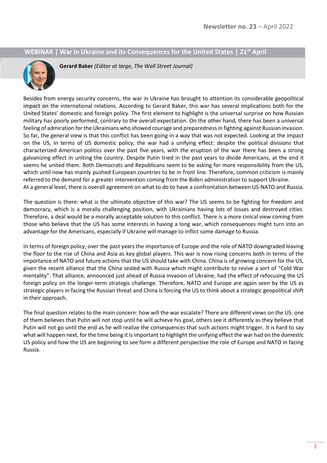#### **WEBINAR | War in Ukraine and its Consequences for the United States | 21st April**



**Gerard Baker** *(Editor at large, The Wall Street Journal)*

Besides from energy security concerns, the war in Ukraine has brought to attention its considerable geopolitical impact on the international relations. According to Gerard Baker, this war has several implications both for the United States' domestic and foreign policy. The first element to highlight is the universal surprise on how Russian military has poorly performed, contrary to the overall expectation. On the other hand, there has been a universal feeling of admiration for the Ukrainians who showed courage and preparedness in fighting against Russian invasion. So far, the general view is that this conflict has been going in a way that was not expected. Looking at the impact on the US, in terms of US domestic policy, the war had a unifying effect: despite the political divisions that characterized American politics over the past five years, with the eruption of the war there has been a strong galvanizing effect in uniting the country. Despite Putin tried in the past years to divide Americans, at the end it seems he united them. Both Democrats and Republicans seem to be asking for more responsibility from the US, which until now has mainly pushed European countries to be in front line. Therefore, common criticism is mainly referred to the demand for a greater intervention coming from the Biden administration to support Ukraine. At a general level, there is overall agreement on what to do to have a confrontation between US-NATO and Russia.

The question is there: what is the ultimate objective of this war? The US seems to be fighting for freedom and democracy, which is a morally challenging position, with Ukrainians having lots of losses and destroyed cities. Therefore, a deal would be a morally acceptable solution to this conflict. There is a more cinical view coming from those who believe that the US has some interests in having a long war, which consequences might turn into an advantage for the Americans, especially if Ukraine will manage to inflict some damage to Russia.

In terms of foreign policy, over the past years the importance of Europe and the role of NATO downgraded leaving the floor to the rise of China and Asia as key global players. This war is now rising concerns both in terms of the importance of NATO and future actions that the US should take with China. China is of growing concern for the US, given the recent alliance that the China sealed with Russia which might contribute to revive a sort of "Cold War mentality". That alliance, announced just ahead of Russia invasion of Ukraine, had the effect of refocusing the US foreign policy on the longer-term strategic challenge. Therefore, NATO and Europe are again seen by the US as strategic players in facing the Russian threat and China is forcing the US to think about a strategic geopolitical shift in their approach.

The final question relates to the main concern: how will the war escalate? There are different views on the US: one of them believes that Putin will not stop until he will achieve his goal, others see it differently as they believe that Putin will not go until the end as he will realize the consequences that such actions might trigger. It is hard to say what will happen next, for the time being it is important to highlight the unifying effect the war had on the domestic US policy and how the US are beginning to see form a different perspective the role of Europe and NATO in facing Russia.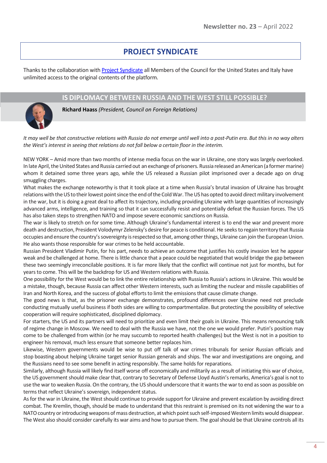## **PROJECT SYNDICATE**

Thanks to the collaboration wit[h Project Syndicate](https://www.project-syndicate.org/) all Members of the Council for the United States and Italy have unlimited access to the original contents of the platform.

#### **IS DIPLOMACY BETWEEN RUSSIA AND THE WEST STILL POSSIBLE?**

**Richard Haass** *(President, Council on Foreign Relations)*

*It may well be that constructive relations with Russia do not emerge until well into a post-Putin era. But this in no way alters the West's interest in seeing that relations do not fall below a certain floor in the interim.*

NEW YORK – Amid more than two months of intense media focus on the war in Ukraine, one story was largely overlooked. In late April, the United States and Russia carried out an exchange of prisoners. Russia released an American (a former marine) whom it detained some three years ago, while the US released a Russian pilot imprisoned over a decade ago on drug smuggling charges.

What makes the exchange noteworthy is that it took place at a time when Russia's brutal invasion of Ukraine has brought relations with the US to their lowest point since the end of the Cold War. The US has opted to avoid direct military involvement in the war, but it is doing a great deal to affect its trajectory, including providing Ukraine with large quantities of increasingly advanced arms, intelligence, and training so that it can successfully resist and potentially defeat the Russian forces. The US has also taken steps to strengthen NATO and impose severe economic sanctions on Russia.

The war is likely to stretch on for some time. Although Ukraine's fundamental interest is to end the war and prevent more death and destruction, President Volodymyr Zelensky's desire for peace is conditional. He seeksto regain territory that Russia occupies and ensure the country's sovereignty is respected so that, among other things, Ukraine can join the European Union. He also wants those responsible for war crimes to be held accountable.

Russian President Vladimir Putin, for his part, needs to achieve an outcome that justifies his costly invasion lest he appear weak and be challenged at home. There is little chance that a peace could be negotiated that would bridge the gap between these two seemingly irreconcilable positions. It is far more likely that the conflict will continue not just for months, but for years to come. This will be the backdrop for US and Western relations with Russia.

One possibility for the West would be to link the entire relationship with Russia to Russia's actions in Ukraine. This would be a mistake, though, because Russia can affect other Western interests, such as limiting the nuclear and missile capabilities of Iran and North Korea, and the success of global efforts to limit the emissions that cause climate change.

The good news is that, as the prisoner exchange demonstrates, profound differences over Ukraine need not preclude conducting mutually useful business if both sides are willing to compartmentalize. But protecting the possibility of selective cooperation will require sophisticated, disciplined diplomacy.

For starters, the US and its partners will need to prioritize and even limit their goals in Ukraine. This means renouncing talk of regime change in Moscow. We need to deal with the Russia we have, not the one we would prefer. Putin's position may come to be challenged from within (or he may succumb to reported health challenges) but the West is not in a position to engineer his removal, much less ensure that someone better replaces him.

Likewise, Western governments would be wise to put off talk of war crimes tribunals for senior Russian officials and stop boasting about helping Ukraine target senior Russian generals and ships. The war and investigations are ongoing, and the Russians need to see some benefit in acting responsibly. The same holds for reparations.

Similarly, although Russia will likely find itself worse off economically and militarily as a result of initiating this war of choice, the US government should make clear that, contrary to Secretary of Defense Lloyd Austin'sremarks, America's goal is not to use the war to weaken Russia. On the contrary, the US should underscore that it wants the war to end as soon as possible on terms that reflect Ukraine's sovereign, independent status.

As for the war in Ukraine, the West should continue to provide support for Ukraine and prevent escalation by avoiding direct combat. The Kremlin, though, should be made to understand that this restraint is premised on its not widening the war to a NATO country or introducing weapons of mass destruction, at which point such self-imposed Western limits would disappear. The West also should consider carefully its war aims and how to pursue them. The goal should be that Ukraine controls all its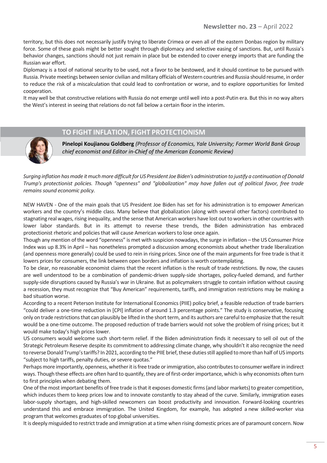territory, but this does not necessarily justify trying to liberate Crimea or even all of the eastern Donbas region by military force. Some of these goals might be better sought through diplomacy and selective easing of sanctions. But, until Russia's behavior changes, sanctions should not just remain in place but be extended to cover energy imports that are funding the Russian war effort.

Diplomacy is a tool of national security to be used, not a favor to be bestowed, and it should continue to be pursued with Russia. Private meetings between senior civilian and military officials of Western countries and Russia should resume, in order to reduce the risk of a miscalculation that could lead to confrontation or worse, and to explore opportunities for limited cooperation.

It may well be that constructive relations with Russia do not emerge until well into a post-Putin era. But this in no way alters the West's interest in seeing that relations do not fall below a certain floor in the interim.



### **TO FIGHT INFLATION, FIGHT PROTECTIONISM**

**Pinelopi Koujianou Goldberg** *(Professor of Economics, Yale University; Former World Bank Group chief economist and Editor in-Chief of the American Economic Review)*

*Surging inflation has made it much more difficult for US President Joe Biden's administration to justify a continuation of Donald Trump's protectionist policies. Though "openness" and "globalization" may have fallen out of political favor, free trade remains sound economic policy.*

NEW HAVEN - One of the main goals that US President Joe Biden has set for his administration is to empower American workers and the country's middle class. Many believe that globalization (along with several other factors) contributed to stagnating real wages, rising inequality, and the sense that American workers have lost out to workers in other countries with lower labor standards. But in its attempt to reverse these trends, the Biden administration has embraced protectionist rhetoric and policies that will cause American workers to lose once again.

Though any mention of the word "openness" is met with suspicion nowadays, the surge in inflation – the US Consumer Price Index was up 8.3% in April – has nonetheless prompted a discussion among economists about whether trade liberalization (and openness more generally) could be used to rein in rising prices. Since one of the main arguments for free trade is that it lowers prices for consumers, the link between open borders and inflation is worth contemplating.

To be clear, no reasonable economist claims that the recent inflation is the result of trade restrictions. By now, the causes are well understood to be a combination of pandemic-driven supply-side shortages, policy-fueled demand, and further supply-side disruptions caused by Russia's war in Ukraine. But as policymakers struggle to contain inflation without causing a recession, they must recognize that "Buy American" requirements, tariffs, and immigration restrictions may be making a bad situation worse.

According to a recent Peterson Institute for International Economics (PIIE) policy brief, a feasible reduction of trade barriers "could deliver a one-time reduction in [CPI] inflation of around 1.3 percentage points." The study is conservative, focusing only on trade restrictions that can plausibly be lifted in the short term, and its authors are careful to emphasize that the result would be a one-time outcome. The proposed reduction of trade barriers would not solve the problem of rising prices; but it would make today's high prices lower.

US consumers would welcome such short-term relief. If the Biden administration finds it necessary to sell oil out of the Strategic Petroleum Reserve despite its commitment to addressing climate change, why shouldn't it also recognize the need to reverse Donald Trump's tariffs? In 2021, according to the PIIE brief, these duties still applied to more than half of US imports "subject to high tariffs, penalty duties, or severe quotas."

Perhaps more importantly, openness, whether it is free trade or immigration, also contributes to consumer welfare in indirect ways. Though these effects are often hard to quantify, they are of first-order importance, which is why economists often turn to first principles when debating them.

One of the most important benefits of free trade is that it exposes domestic firms (and labor markets) to greater competition, which induces them to keep prices low and to innovate constantly to stay ahead of the curve. Similarly, immigration eases labor-supply shortages, and high-skilled newcomers can boost productivity and innovation. Forward-looking countries understand this and embrace immigration. The United Kingdom, for example, has adopted a new skilled-worker visa program that welcomes graduates of top global universities.

It is deeply misguided to restrict trade and immigration at a time when rising domestic prices are of paramount concern. Now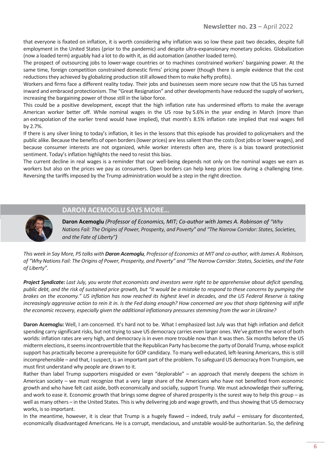that everyone is fixated on inflation, it is worth considering why inflation was so low these past two decades, despite full employment in the United States (prior to the pandemic) and despite ultra-expansionary monetary policies. Globalization (now a loaded term) arguably had a lot to do with it, as did automation (another loaded term).

The prospect of outsourcing jobs to lower-wage countries or to machines constrained workers' bargaining power. At the same time, foreign competition constrained domestic firms' pricing power (though there is ample evidence that the cost reductions they achieved by globalizing production still allowed them to make hefty profits).

Workers and firms face a different reality today. Their jobs and businesses seem more secure now that the US has turned inward and embraced protectionism. The "Great Resignation" and other developments have reduced the supply of workers, increasing the bargaining power of those still in the labor force.

This could be a positive development, except that the high inflation rate has undermined efforts to make the average American worker better off. While nominal wages in the US rose by 5.6% in the year ending in March (more than an extrapolation of the earlier trend would have implied), that month's 8.5% inflation rate implied that real wages fell by 2.7%.

If there is any silver lining to today's inflation, it lies in the lessons that this episode has provided to policymakers and the public alike. Because the benefits of open borders (lower prices) are less salient than the costs (lost jobs or lower wages), and because consumer interests are not organized, while worker interests often are, there is a bias toward protectionist sentiment. Today's inflation highlights the need to resist this bias.

The current decline in real wages is a reminder that our well-being depends not only on the nominal wages we earn as workers but also on the prices we pay as consumers. Open borders can help keep prices low during a challenging time. Reversing the tariffs imposed by the Trump administration would be a step in the right direction.

#### **DARON ACEMOGLU SAYS MORE…**



**Daron Acemoglu** *(Professor of Economics, MIT; Co-author with James A. Robinson of "Why Nations Fail: The Origins of Power, Prosperity, and Poverty" and "The Narrow Corridor: States, Societies, and the Fate of Liberty")*

*This week in Say More, PS talks with Daron Acemoglu, Professor of Economics at MIT and co-author, with James A. Robinson, of "Why Nations Fail: The Origins of Power, Prosperity, and Poverty" and "The Narrow Corridor: States, Societies, and the Fate of Liberty".*

*Project Syndicate: Last July, you wrote that economists and investors were right to be apprehensive about deficit spending, public debt, and the risk of sustained price growth, but "it would be a mistake to respond to these concerns by pumping the brakes on the economy." US inflation has now reached its highest level in decades, and the US Federal Reserve is taking increasingly aggressive action to rein it in. Is the Fed doing enough? How concerned are you that sharp tightening will stifle the economic recovery, especially given the additional inflationary pressures stemming from the war in Ukraine?*

**Daron Acemoglu:** Well, I am concerned. It's hard not to be. What I emphasized last July was that high inflation and deficit spending carry significant risks, but not trying to save US democracy carries even larger ones. We've gotten the worst of both worlds: inflation rates are very high, and democracy is in even more trouble now than it was then. Six months before the US midterm elections, it seems incontrovertible that the Republican Party has become the party of Donald Trump, whose explicit support has practically become a prerequisite for GOP candidacy. To many well-educated, left-leaning Americans, this is still incomprehensible – and that, I suspect, is an important part of the problem. To safeguard US democracy from Trumpism, we must first understand why people are drawn to it.

Rather than label Trump supporters misguided or even "deplorable" – an approach that merely deepens the schism in American society – we must recognize that a very large share of the Americans who have not benefited from economic growth and who have felt cast aside, both economically and socially, support Trump. We must acknowledge their suffering, and work to ease it. Economic growth that brings some degree of shared prosperity is the surest way to help this group – as well as many others – in the United States. This is why delivering job and wage growth, and thus showing that US democracy works, is so important.

In the meantime, however, it is clear that Trump is a hugely flawed – indeed, truly awful – emissary for discontented, economically disadvantaged Americans. He is a corrupt, mendacious, and unstable would-be authoritarian. So, the defining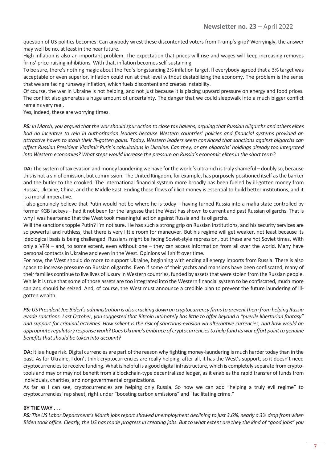question of US politics becomes: Can anybody wrest these discontented voters from Trump's grip? Worryingly, the answer may well be no, at least in the near future.

High inflation is also an important problem. The expectation that prices will rise and wages will keep increasing removes firms' price-raising inhibitions. With that, inflation becomes self-sustaining.

To be sure, there's nothing magic about the Fed's longstanding 2% inflation target. If everybody agreed that a 3% target was acceptable or even superior, inflation could run at that level without destabilizing the economy. The problem is the sense that we are facing runaway inflation, which fuels discontent and creates instability.

Of course, the war in Ukraine is not helping, and not just because it is placing upward pressure on energy and food prices. The conflict also generates a huge amount of uncertainty. The danger that we could sleepwalk into a much bigger conflict remains very real.

Yes, indeed, these are worrying times.

*PS: In March, you argued that the war should spur action to close tax havens, arguing that Russian oligarchs and others elites had no incentive to rein in authoritarian leaders because Western countries' policies and financial systems provided an attractive haven to stash their ill-gotten gains. Today, Western leaders seem convinced that sanctions against oligarchs can affect Russian President Vladimir Putin's calculations in Ukraine. Can they, or are oligarchs' holdings already too integrated into Western economies? What steps would increase the pressure on Russia's economic elites in the short term?*

**DA:** The system of tax evasion and money laundering we have for the world's ultra-rich is truly shameful – doubly so, because this is not a sin of omission, but commission. The United Kingdom, for example, has purposely positioned itself as the banker and the butler to the crooked. The international financial system more broadly has been fueled by ill-gotten money from Russia, Ukraine, China, and the Middle East. Ending these flows of illicit money is essential to build better institutions, and it is a moral imperative.

I also genuinely believe that Putin would not be where he is today – having turned Russia into a mafia state controlled by former KGB lackeys – had it not been for the largesse that the West has shown to current and past Russian oligarchs. That is why I was heartened that the West took meaningful action against Russia and its oligarchs.

Will the sanctions topple Putin? I'm not sure. He has such a strong grip on Russian institutions, and his security services are so powerful and ruthless, that there is very little room for maneuver. But his regime will get weaker, not least because its ideological basis is being challenged. Russians might be facing Soviet-style repression, but these are not Soviet times. With only a VPN – and, to some extent, even without one – they can access information from all over the world. Many have personal contacts in Ukraine and even in the West. Opinions will shift over time.

For now, the West should do more to support Ukraine, beginning with ending all energy imports from Russia. There is also space to increase pressure on Russian oligarchs. Even if some of their yachts and mansions have been confiscated, many of their families continue to live lives of luxury in Western countries, funded by assets that were stolen from the Russian people. While it is true that some of those assets are too integrated into the Western financial system to be confiscated, much more can and should be seized. And, of course, the West must announce a credible plan to prevent the future laundering of illgotten wealth.

*PS: US President Joe Biden's administration is also cracking down on cryptocurrency firms to prevent them from helping Russia evade sanctions. Last October, you suggested that Bitcoin ultimately has little to offer beyond a "puerile libertarian fantasy" and support for criminal activities. How salient is the risk of sanctions-evasion via alternative currencies, and how would an appropriate regulatory response work? Does Ukraine's embrace of cryptocurrencies to help fund its war effort point to genuine benefits that should be taken into account?* 

**DA:** It is a huge risk. Digital currencies are part of the reason why fighting money-laundering is much harder today than in the past. As for Ukraine, I don't think cryptocurrencies are really helping; after all, it has the West's support, so it doesn't need cryptocurrencies to receive funding. What is helpful is a good digital infrastructure, which is completely separate from cryptotools and may or may not benefit from a blockchain-type decentralized ledger, as it enables the rapid transfer of funds from individuals, charities, and nongovernmental organizations.

As far as I can see, cryptocurrencies are helping only Russia. So now we can add "helping a truly evil regime" to cryptocurrencies' rap sheet, right under "boosting carbon emissions" and "facilitating crime."

#### **BY THE WAY . . .**

*PS: The US Labor Department's March jobs report showed unemployment declining to just 3.6%, nearly a 3% drop from when Biden took office. Clearly, the US has made progress in creating jobs. But to what extent are they the kind of "good jobs" you*